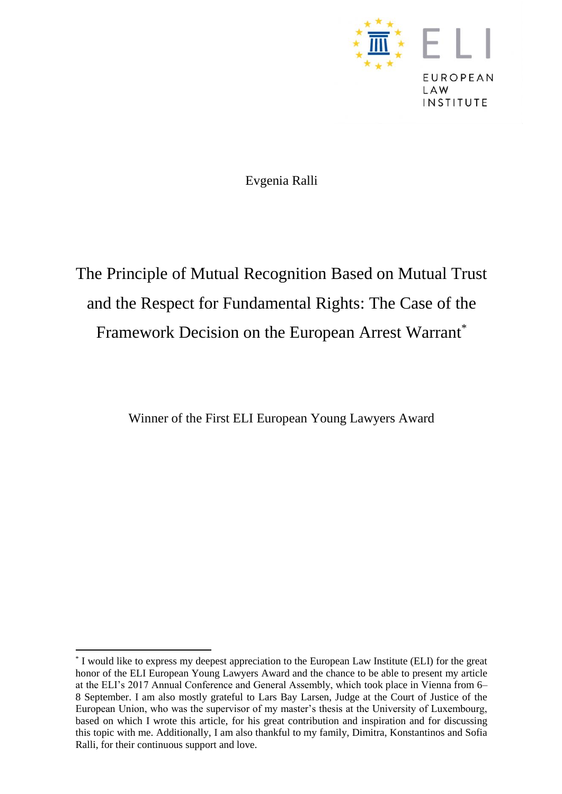

Evgenia Ralli

# The Principle of Mutual Recognition Based on Mutual Trust and the Respect for Fundamental Rights: The Case of the Framework Decision on the European Arrest Warrant\*

Winner of the First ELI European Young Lawyers Award

 $\ddot{\phantom{a}}$ 

<sup>\*</sup> I would like to express my deepest appreciation to the European Law Institute (ELI) for the great honor of the ELI European Young Lawyers Award and the chance to be able to present my article at the ELI's 2017 Annual Conference and General Assembly, which took place in Vienna from 6– 8 September. I am also mostly grateful to Lars Bay Larsen, Judge at the Court of Justice of the European Union, who was the supervisor of my master's thesis at the University of Luxembourg, based on which I wrote this article, for his great contribution and inspiration and for discussing this topic with me. Additionally, I am also thankful to my family, Dimitra, Konstantinos and Sofia Ralli, for their continuous support and love.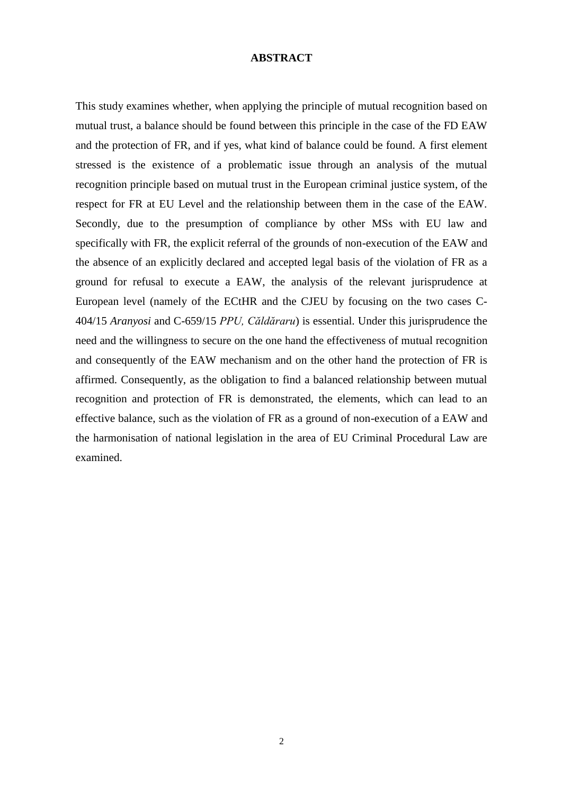#### **ABSTRACT**

This study examines whether, when applying the principle of mutual recognition based on mutual trust, a balance should be found between this principle in the case of the FD EAW and the protection of FR, and if yes, what kind of balance could be found. A first element stressed is the existence of a problematic issue through an analysis of the mutual recognition principle based on mutual trust in the European criminal justice system, of the respect for FR at EU Level and the relationship between them in the case of the EAW. Secondly, due to the presumption of compliance by other MSs with EU law and specifically with FR, the explicit referral of the grounds of non-execution of the EAW and the absence of an explicitly declared and accepted legal basis of the violation of FR as a ground for refusal to execute a EAW, the analysis of the relevant jurisprudence at European level (namely of the ECtHR and the CJEU by focusing on the two cases C-404/15 *Aranyosi* and C-659/15 *PPU, Căldăraru*) is essential. Under this jurisprudence the need and the willingness to secure on the one hand the effectiveness of mutual recognition and consequently of the EAW mechanism and on the other hand the protection of FR is affirmed. Consequently, as the obligation to find a balanced relationship between mutual recognition and protection of FR is demonstrated, the elements, which can lead to an effective balance, such as the violation of FR as a ground of non-execution of a EAW and the harmonisation of national legislation in the area of EU Criminal Procedural Law are examined.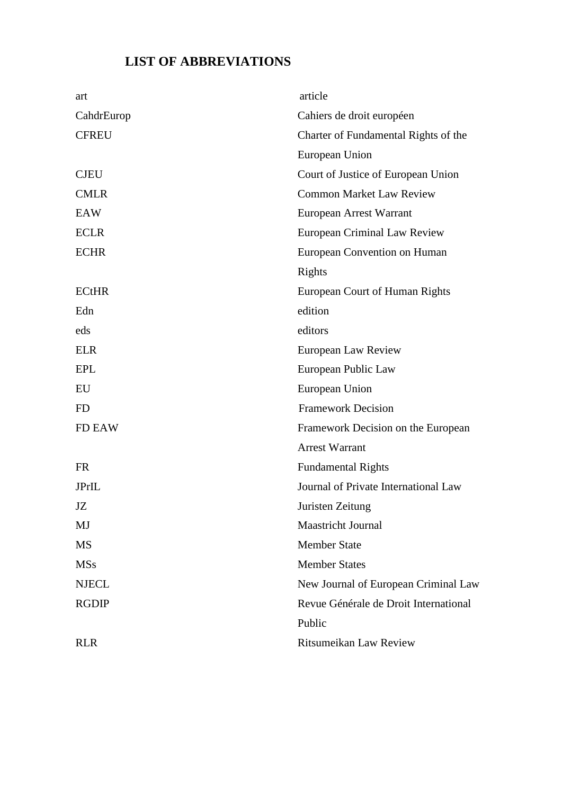# **LIST OF ABBREVIATIONS**

| art          | article                               |
|--------------|---------------------------------------|
| CahdrEurop   | Cahiers de droit européen             |
| <b>CFREU</b> | Charter of Fundamental Rights of the  |
|              | European Union                        |
| <b>CJEU</b>  | Court of Justice of European Union    |
| <b>CMLR</b>  | <b>Common Market Law Review</b>       |
| EAW          | European Arrest Warrant               |
| <b>ECLR</b>  | <b>European Criminal Law Review</b>   |
| <b>ECHR</b>  | European Convention on Human          |
|              | Rights                                |
| <b>ECtHR</b> | <b>European Court of Human Rights</b> |
| Edn          | edition                               |
| eds          | editors                               |
| <b>ELR</b>   | European Law Review                   |
| <b>EPL</b>   | European Public Law                   |
| EU           | European Union                        |
| <b>FD</b>    | <b>Framework Decision</b>             |
| FD EAW       | Framework Decision on the European    |
|              | <b>Arrest Warrant</b>                 |
| <b>FR</b>    | <b>Fundamental Rights</b>             |
| <b>JPrIL</b> | Journal of Private International Law  |
| JZ           | Juristen Zeitung                      |
| MJ           | <b>Maastricht Journal</b>             |
| <b>MS</b>    | <b>Member State</b>                   |
| <b>MSs</b>   | <b>Member States</b>                  |
| <b>NJECL</b> | New Journal of European Criminal Law  |
| <b>RGDIP</b> | Revue Générale de Droit International |
|              | Public                                |
| <b>RLR</b>   | Ritsumeikan Law Review                |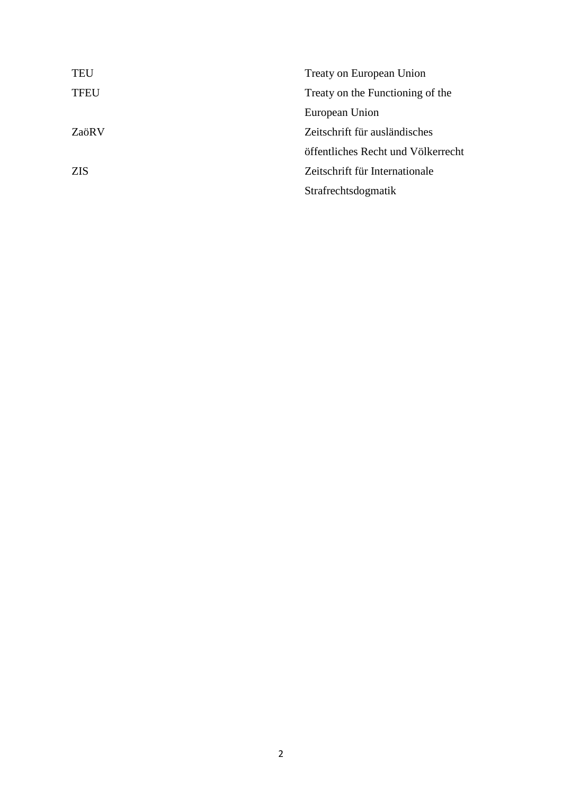| <b>TEU</b>  | Treaty on European Union           |
|-------------|------------------------------------|
| <b>TFEU</b> | Treaty on the Functioning of the   |
|             | European Union                     |
| ZaöR V      | Zeitschrift für ausländisches      |
|             | öffentliches Recht und Völkerrecht |
| <b>ZIS</b>  | Zeitschrift für Internationale     |
|             | Strafrechtsdogmatik                |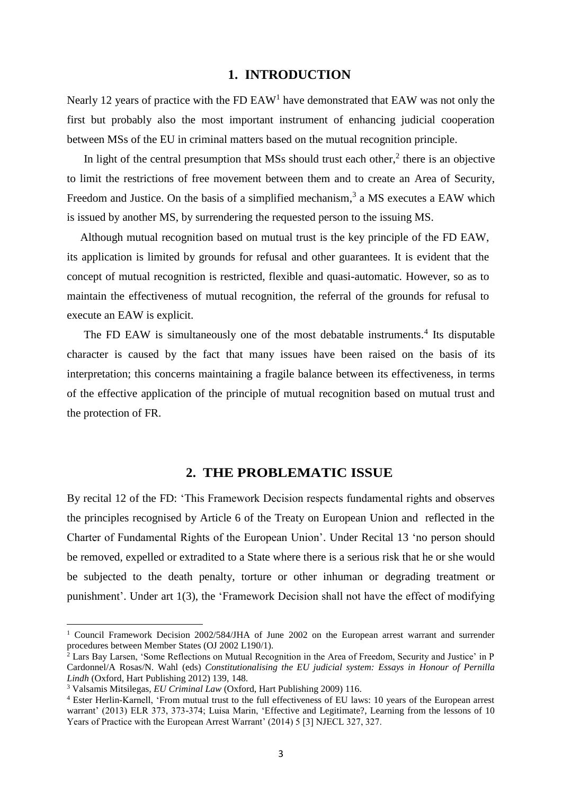#### **1. ΙNTRODUCTION**

Nearly 12 years of practice with the FD  $EAW<sup>1</sup>$  have demonstrated that  $EAW$  was not only the first but probably also the most important instrument of enhancing judicial cooperation between MSs of the EU in criminal matters based on the mutual recognition principle.

In light of the central presumption that MSs should trust each other,<sup>2</sup> there is an objective to limit the restrictions of free movement between them and to create an Area of Security, Freedom and Justice. On the basis of a simplified mechanism,<sup>3</sup> a MS executes a EAW which is issued by another MS, by surrendering the requested person to the issuing MS.

Although mutual recognition based on mutual trust is the key principle of the FD EAW, its application is limited by grounds for refusal and other guarantees. It is evident that the concept of mutual recognition is restricted, flexible and quasi-automatic. However, so as to maintain the effectiveness of mutual recognition, the referral of the grounds for refusal to execute an EAW is explicit.

The FD EAW is simultaneously one of the most debatable instruments.<sup>4</sup> Its disputable character is caused by the fact that many issues have been raised on the basis of its interpretation; this concerns maintaining a fragile balance between its effectiveness, in terms of the effective application of the principle of mutual recognition based on mutual trust and the protection of FR.

### **2. THE PROBLEMATIC ISSUE**

By recital 12 of the FD: 'This Framework Decision respects fundamental rights and observes the principles recognised by Article 6 of the Treaty on European Union and reflected in the Charter of Fundamental Rights of the European Union'. Under Recital 13 'no person should be removed, expelled or extradited to a State where there is a serious risk that he or she would be subjected to the death penalty, torture or other inhuman or degrading treatment or punishment'. Under art 1(3), the 'Framework Decision shall not have the effect of modifying

 $\overline{a}$ 

<sup>&</sup>lt;sup>1</sup> Council Framework Decision 2002/584/JHA of June 2002 on the European arrest warrant and surrender procedures between Member States (OJ 2002 L190/1).

<sup>&</sup>lt;sup>2</sup> Lars Bay Larsen, 'Some Reflections on Mutual Recognition in the Area of Freedom, Security and Justice' in P Cardonnel/A Rosas/N. Wahl (eds) *Constitutionalising the EU judicial system: Essays in Honour of Pernilla Lindh* (Oxford, Hart Publishing 2012) 139, 148.

<sup>3</sup> Valsamis Mitsilegas, *EU Criminal Law* (Oxford, Hart Publishing 2009) 116.

<sup>4</sup> Ester Herlin-Karnell, ['From mutual trust to the full effectiveness of EU laws: 10 years of the European arrest](http://login.westlaw.co.uk/maf/wluk/ext/app/document?docguid=I4467E9A274CB11E2BD04BE991BF76CB2&crumb-action=reset&sp=ukeurpal-1)  [warrant'](http://login.westlaw.co.uk/maf/wluk/ext/app/document?docguid=I4467E9A274CB11E2BD04BE991BF76CB2&crumb-action=reset&sp=ukeurpal-1) (2013) ELR 373, 373-374; Luisa Marin, 'Effective and Legitimate?, Learning from the lessons of 10 Years of Practice with the European Arrest Warrant' (2014) 5 [3] NJECL 327, 327.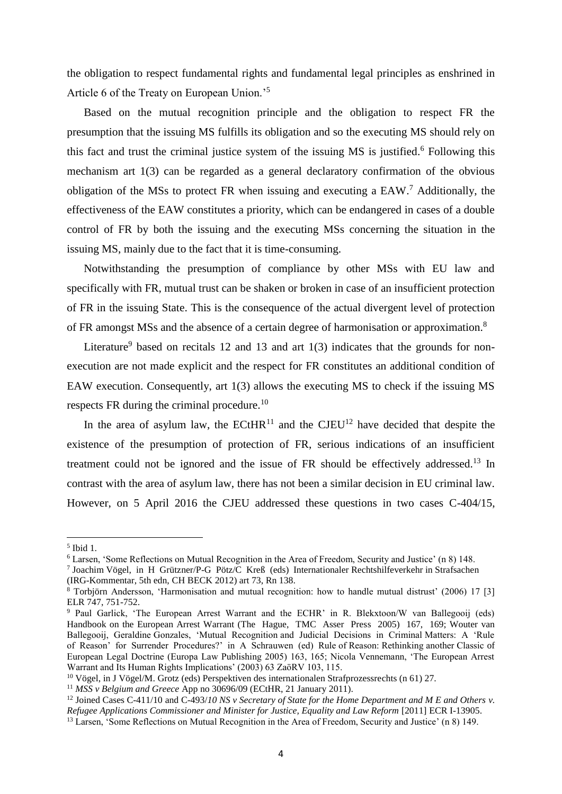the obligation to respect fundamental rights and fundamental legal principles as enshrined in Article 6 of the Treaty on European Union.'<sup>5</sup>

Based on the mutual recognition principle and the obligation to respect FR the presumption that the issuing MS fulfills its obligation and so the executing MS should rely on this fact and trust the criminal justice system of the issuing MS is justified. <sup>6</sup> Following this mechanism art 1(3) can be regarded as a general declaratory confirmation of the obvious obligation of the MSs to protect FR when issuing and executing a EAW.<sup>7</sup> Additionally, the effectiveness of the EAW constitutes a priority, which can be endangered in cases of a double control of FR by both the issuing and the executing MSs concerning the situation in the issuing MS, mainly due to the fact that it is time-consuming.

Notwithstanding the presumption of compliance by other MSs with EU law and specifically with FR, mutual trust can be shaken or broken in case of an insufficient protection of FR in the issuing State. This is the consequence of the actual divergent level of protection of FR amongst MSs and the absence of a certain degree of harmonisation or approximation.<sup>8</sup>

Literature<sup>9</sup> based on recitals 12 and 13 and art  $1(3)$  indicates that the grounds for nonexecution are not made explicit and the respect for FR constitutes an additional condition of EAW execution. Consequently, art 1(3) allows the executing MS to check if the issuing MS respects FR during the criminal procedure.<sup>10</sup>

In the area of asylum law, the  $ECHR<sup>11</sup>$  and the  $CJEU<sup>12</sup>$  have decided that despite the existence of the presumption of protection of FR, serious indications of an insufficient treatment could not be ignored and the issue of FR should be effectively addressed.<sup>13</sup> In contrast with the area of asylum law, there has not been a similar decision in EU criminal law. However, on 5 April 2016 the CJEU addressed these questions in two cases C-404/15,

 $\overline{\phantom{a}}$ 

<sup>5</sup> Ibid 1.

<sup>6</sup> Larsen, 'Some Reflections on Mutual Recognition in the Area of Freedom, Security and Justice' (n 8) 148.

<sup>7</sup> Joachim Vögel, in H Grützner/P-G Pötz/C Kreß (eds) Internationaler Rechtshilfeverkehr in Strafsachen (IRG-Kommentar, 5th edn, CH BECK 2012) art 73, Rn 138.

<sup>8</sup> Torbjörn Andersson, 'Harmonisation and mutual recognition: how to handle mutual distrust' (2006) 17 [3] ELR 747, 751-752.

<sup>&</sup>lt;sup>9</sup> Paul Garlick, 'The European Arrest Warrant and the ECHR' in R. Blekxtoon/W van Ballegooij (eds) Handbook on the European Arrest Warrant (The Hague, TMC Asser Press 2005) 167, 169; Wouter van Ballegooij, Geraldine Gonzales, 'Mutual Recognition and Judicial Decisions in Criminal Matters: A 'Rule of Reason' for Surrender Procedures?' in A Schrauwen (ed) Rule of Reason: Rethinking another Classic of European Legal Doctrine (Europa Law Publishing 2005) 163, 165; Nicola Vennemann, 'The European Arrest Warrant and Its Human Rights Implications' (2003) 63 ZaöRV 103, 115.

<sup>&</sup>lt;sup>10</sup> Vögel, in J Vögel/M. Grotz (eds) Perspektiven des internationalen Strafprozessrechts (n 61) 27.

<sup>11</sup> *MSS v Belgium and Greece* App no 30696/09 (ECtHR, 21 January 2011).

<sup>&</sup>lt;sup>12</sup> Joine[d Cases C-411/10](http://curia.europa.eu/juris/liste.jsf?num=C-411/10&language=en) and C-493/10 NS v Secretary of State for the Home Department and M E and Others v. *Refugee Applications Commissioner and Minister for Justice, Equality and Law Reform* [2011] ECR I-13905.

<sup>13</sup> Larsen, 'Some Reflections on Mutual Recognition in the Area of Freedom, Security and Justice' (n 8) 149.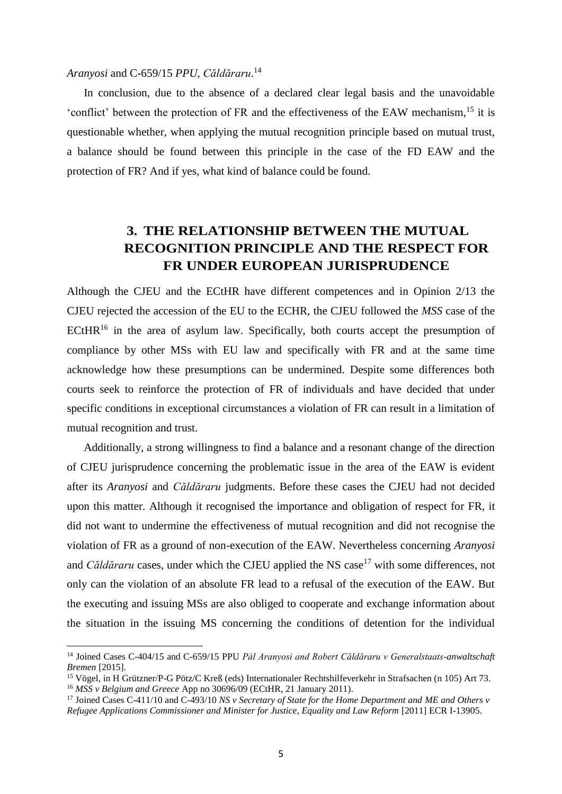### *Aranyosi* and C-659/15 *PPU, Căldăraru*. 14

l

In conclusion, due to the absence of a declared clear legal basis and the unavoidable 'conflict' between the protection of FR and the effectiveness of the EAW mechanism,<sup>15</sup> it is questionable whether, when applying the mutual recognition principle based on mutual trust, a balance should be found between this principle in the case of the FD EAW and the protection of FR? And if yes, what kind of balance could be found.

# **3. THE RELATIONSHIP BETWEEN THE MUTUAL RECOGNITION PRINCIPLE AND THE RESPECT FOR FR UNDER EUROPEAN JURISPRUDENCE**

Although the CJEU and the ECtHR have different competences and in Opinion 2/13 the CJEU rejected the accession of the EU to the ECHR, the CJEU followed the *MSS* case of the  $ECHR<sup>16</sup>$  in the area of asylum law. Specifically, both courts accept the presumption of compliance by other MSs with EU law and specifically with FR and at the same time acknowledge how these presumptions can be undermined. Despite some differences both courts seek to reinforce the protection of FR of individuals and have decided that under specific conditions in exceptional circumstances a violation of FR can result in a limitation of mutual recognition and trust.

Additionally, a strong willingness to find a balance and a resonant change of the direction of CJEU jurisprudence concerning the problematic issue in the area of the EAW is evident after its *Aranyosi* and *Căldăraru* judgments. Before these cases the CJEU had not decided upon this matter. Although it recognised the importance and obligation of respect for FR, it did not want to undermine the effectiveness of mutual recognition and did not recognise the violation of FR as a ground of non-execution of the EAW. Nevertheless concerning *Aranyosi* and *Căldăraru* cases, under which the CJEU applied the NS case<sup>17</sup> with some differences, not only can the violation of an absolute FR lead to a refusal of the execution of the EAW. But the executing and issuing MSs are also obliged to cooperate and exchange information about the situation in the issuing MS concerning the conditions of detention for the individual

<sup>14</sup> Joined [Cases](http://curia.europa.eu/juris/liste.jsf?num=C-411/10&language=en) C-404/15 and C-659/15 PPU *Pál Aranyosi and Robert Căldăraru v Generalstaats-anwaltschaft Bremen* [2015].

<sup>15</sup> Vögel, in H Grützner/P-G Pötz/C Kreß (eds) Internationaler Rechtshilfeverkehr in Strafsachen (n 105) Art 73. <sup>16</sup> *MSS v Belgium and Greece* App no 30696/09 (ECtHR, 21 January 2011).

<sup>17</sup> Joined Cases C-411/10 and C-493/10 *NS v Secretary of State for the Home Department and ME and Others v Refugee Applications Commissioner and Minister for Justice, Equality and Law Reform* [2011] ECR I-13905.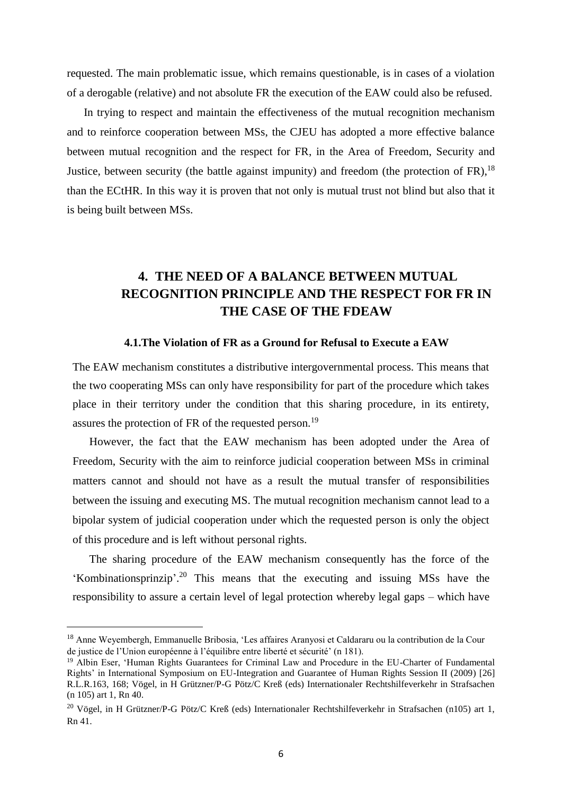requested. The main problematic issue, which remains questionable, is in cases of a violation of a derogable (relative) and not absolute FR the execution of the EAW could also be refused.

In trying to respect and maintain the effectiveness of the mutual recognition mechanism and to reinforce cooperation between MSs, the CJEU has adopted a more effective balance between mutual recognition and the respect for FR, in the Area of Freedom, Security and Justice, between security (the battle against impunity) and freedom (the protection of FR), <sup>18</sup> than the ECtHR. In this way it is proven that not only is mutual trust not blind but also that it is being built between MSs.

# **4. THE NEED OF A BALANCE BETWEEN MUTUAL RECOGNITION PRINCIPLE AND THE RESPECT FOR FR IN THE CASE OF THE FDEAW**

#### **4.1.The Violation of FR as a Ground for Refusal to Execute a EAW**

The EAW mechanism constitutes a distributive intergovernmental process. This means that the two cooperating MSs can only have responsibility for part of the procedure which takes place in their territory under the condition that this sharing procedure, in its entirety, assures the protection of FR of the requested person.<sup>19</sup>

However, the fact that the EAW mechanism has been adopted under the Area of Freedom, Security with the aim to reinforce judicial cooperation between MSs in criminal matters cannot and should not have as a result the mutual transfer of responsibilities between the issuing and executing MS. The mutual recognition mechanism cannot lead to a bipolar system of judicial cooperation under which the requested person is only the object of this procedure and is left without personal rights.

The sharing procedure of the EAW mechanism consequently has the force of the 'Kombinationsprinzip'. <sup>20</sup> This means that the executing and issuing MSs have the responsibility to assure a certain level of legal protection whereby legal gaps – which have

 $\overline{\phantom{a}}$ 

<sup>18</sup> Anne Weyembergh, Emmanuelle Bribosia, 'Les affaires Aranyosi et Caldararu ou la contribution de la Cour de justice de l'Union européenne à l'équilibre entre liberté et sécurité' (n 181).

<sup>&</sup>lt;sup>19</sup> Albin Eser, 'Human Rights Guarantees for Criminal Law and Procedure in the EU-Charter of Fundamental Rights' in International Symposium on EU-Integration and Guarantee of Human Rights Session II (2009) [26] R.L.R.163, 168; Vögel, in H Grützner/P-G Pötz/C Kreß (eds) Internationaler Rechtshilfeverkehr in Strafsachen (n 105) art 1, Rn 40.

<sup>20</sup> Vögel, in H Grützner/P-G Pötz/C Kreß (eds) Internationaler Rechtshilfeverkehr in Strafsachen (n105) art 1, Rn 41.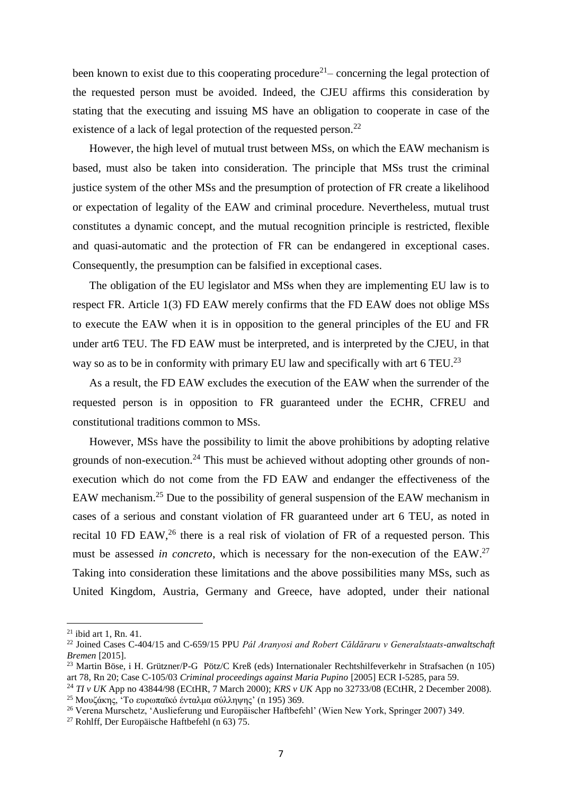been known to exist due to this cooperating procedure<sup>21</sup> – concerning the legal protection of the requested person must be avoided. Indeed, the CJEU affirms this consideration by stating that the executing and issuing MS have an obligation to cooperate in case of the existence of a lack of legal protection of the requested person.<sup>22</sup>

However, the high level of mutual trust between MSs, on which the EAW mechanism is based, must also be taken into consideration. The principle that MSs trust the criminal justice system of the other MSs and the presumption of protection of FR create a likelihood or expectation of legality of the EAW and criminal procedure. Nevertheless, mutual trust constitutes a dynamic concept, and the mutual recognition principle is restricted, flexible and quasi-automatic and the protection of FR can be endangered in exceptional cases. Consequently, the presumption can be falsified in exceptional cases.

The obligation of the EU legislator and MSs when they are implementing EU law is to respect FR. Article 1(3) FD EAW merely confirms that the FD EAW does not oblige MSs to execute the EAW when it is in opposition to the general principles of the EU and FR under art6 TEU. The FD EAW must be interpreted, and is interpreted by the CJEU, in that way so as to be in conformity with primary EU law and specifically with art 6 TEU.<sup>23</sup>

As a result, the FD EAW excludes the execution of the EAW when the surrender of the requested person is in opposition to FR guaranteed under the ECHR, CFREU and constitutional traditions common to MSs.

However, MSs have the possibility to limit the above prohibitions by adopting relative grounds of non-execution.<sup>24</sup> This must be achieved without adopting other grounds of nonexecution which do not come from the FD EAW and endanger the effectiveness of the EAW mechanism.<sup>25</sup> Due to the possibility of general suspension of the EAW mechanism in cases of a serious and constant violation of FR guaranteed under art 6 TEU, as noted in recital 10 FD EAW,<sup>26</sup> there is a real risk of violation of FR of a requested person. This must be assessed *in concreto*, which is necessary for the non-execution of the EAW. 27 Taking into consideration these limitations and the above possibilities many MSs, such as United Kingdom, Austria, Germany and Greece, have adopted, under their national

 $\overline{a}$ 

<sup>21</sup> ibid art 1, Rn. 41.

<sup>22</sup> Joined Cases C-404/15 and C-659/15 PPU *Pál Aranyosi and Robert Căldăraru v Generalstaats-anwaltschaft Bremen* [2015].

<sup>23</sup> Martin Böse, i H. Grützner/P-G Pötz/C Kreß (eds) Internationaler Rechtshilfeverkehr in Strafsachen (n 105) art 78, Rn 20; Case C-105/03 *Criminal proceedings against Maria Pupino* [2005] ECR I-5285, para 59.

<sup>24</sup> *TI v UK* App no 43844/98 (ECtHR, 7 March 2000); *KRS v UK* App no 32733/08 (ECtHR, 2 December 2008). <sup>25</sup> Μουζάκης, 'Το ευρωπαϊκό ένταλμα σύλληψης' (n 195) 369.

<sup>26</sup> Verena Murschetz, 'Auslieferung und Europäischer Haftbefehl' (Wien New York, Springer 2007) 349.

<sup>&</sup>lt;sup>27</sup> Rohlff, Der Europäische Haftbefehl (n 63)  $75$ .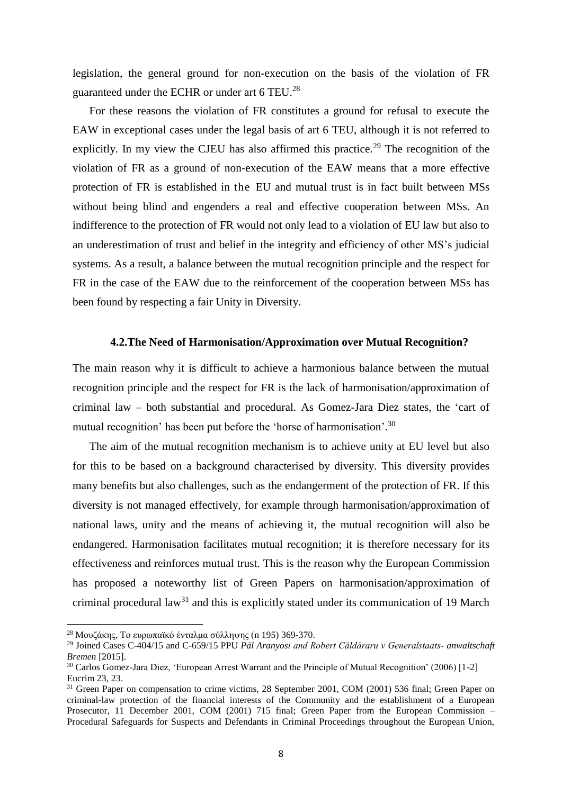legislation, the general ground for non-execution on the basis of the violation of FR guaranteed under the ECHR or under art 6 TEU.<sup>28</sup>

For these reasons the violation of FR constitutes a ground for refusal to execute the EAW in exceptional cases under the legal basis of art 6 TEU, although it is not referred to explicitly. In my view the CJEU has also affirmed this practice.<sup>29</sup> The recognition of the violation of FR as a ground of non-execution of the EAW means that a more effective protection of FR is established in the EU and mutual trust is in fact built between MSs without being blind and engenders a real and effective cooperation between MSs. An indifference to the protection of FR would not only lead to a violation of EU law but also to an underestimation of trust and belief in the integrity and efficiency of other MS's judicial systems. As a result, a balance between the mutual recognition principle and the respect for FR in the case of the EAW due to the reinforcement of the cooperation between MSs has been found by respecting a fair Unity in Diversity.

#### **4.2.The Need of Harmonisation/Approximation over Mutual Recognition?**

The main reason why it is difficult to achieve a harmonious balance between the mutual recognition principle and the respect for FR is the lack of harmonisation/approximation of criminal law – both substantial and procedural. As Gomez-Jara Diez states, the 'cart of mutual recognition' has been put before the 'horse of harmonisation'.<sup>30</sup>

The aim of the mutual recognition mechanism is to achieve unity at EU level but also for this to be based on a background characterised by diversity. This diversity provides many benefits but also challenges, such as the endangerment of the protection of FR. If this diversity is not managed effectively, for example through harmonisation/approximation of national laws, unity and the means of achieving it, the mutual recognition will also be endangered. Harmonisation facilitates mutual recognition; it is therefore necessary for its effectiveness and reinforces mutual trust. This is the reason why the European Commission has proposed a noteworthy list of Green Papers on harmonisation/approximation of criminal procedural law<sup>31</sup> and this is explicitly stated under its communication of 19 March

 $\overline{a}$ 

<sup>28</sup> Μουζάκης, Το ευρωπαϊκό ένταλμα σύλληψης (n 195) 369-370.

<sup>29</sup> Joined Cases C-404/15 and C-659/15 PPU *Pál Aranyosi and Robert Căldăraru v Generalstaats- anwaltschaft Bremen* [2015].

<sup>30</sup> Carlos Gomez-Jara Diez, 'European Arrest Warrant and the Principle of Mutual Recognition' (2006) [1-2] Eucrim 23, 23.

<sup>&</sup>lt;sup>31</sup> Green Paper on compensation to crime victims, 28 September 2001, COM (2001) 536 final; Green Paper on criminal-law protection of the financial interests of the Community and the establishment of a European Prosecutor, 11 December 2001, COM (2001) 715 final; Green Paper from the European Commission – Procedural Safeguards for Suspects and Defendants in Criminal Proceedings throughout the European Union,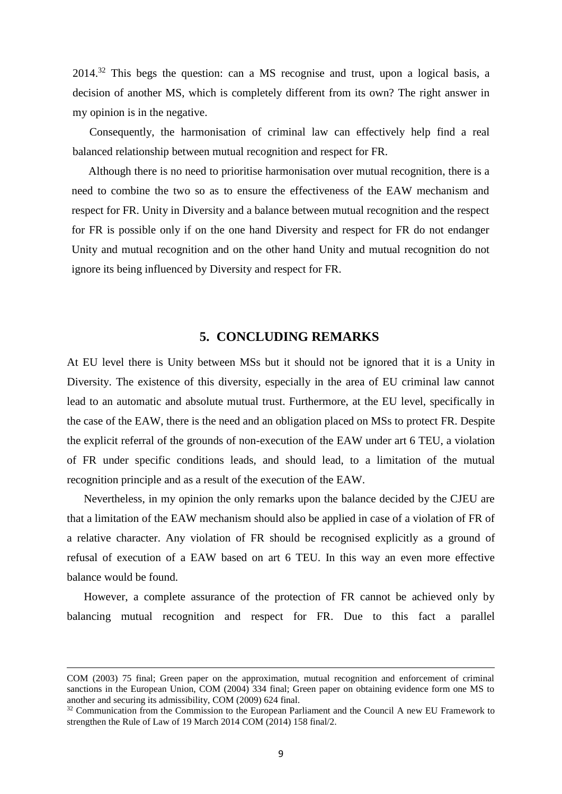2014.<sup>32</sup> This begs the question: can a MS recognise and trust, upon a logical basis, a decision of another MS, which is completely different from its own? The right answer in my opinion is in the negative.

Consequently, the harmonisation of criminal law can effectively help find a real balanced relationship between mutual recognition and respect for FR.

Although there is no need to prioritise harmonisation over mutual recognition, there is a need to combine the two so as to ensure the effectiveness of the EAW mechanism and respect for FR. Unity in Diversity and a balance between mutual recognition and the respect for FR is possible only if on the one hand Diversity and respect for FR do not endanger Unity and mutual recognition and on the other hand Unity and mutual recognition do not ignore its being influenced by Diversity and respect for FR.

### **5. CONCLUDING REMARKS**

At EU level there is Unity between MSs but it should not be ignored that it is a Unity in Diversity. The existence of this diversity, especially in the area of EU criminal law cannot lead to an automatic and absolute mutual trust. Furthermore, at the EU level, specifically in the case of the EAW, there is the need and an obligation placed on MSs to protect FR. Despite the explicit referral of the grounds of non-execution of the EAW under art 6 TEU, a violation of FR under specific conditions leads, and should lead, to a limitation of the mutual recognition principle and as a result of the execution of the EAW.

Nevertheless, in my opinion the only remarks upon the balance decided by the CJEU are that a limitation of the EAW mechanism should also be applied in case of a violation of FR of a relative character. Any violation of FR should be recognised explicitly as a ground of refusal of execution of a EAW based on art 6 TEU. In this way an even more effective balance would be found.

However, a complete assurance of the protection of FR cannot be achieved only by balancing mutual recognition and respect for FR. Due to this fact a parallel

 $\overline{\phantom{a}}$ 

COM (2003) 75 final; Green paper on the approximation, mutual recognition and enforcement of criminal sanctions in the European Union, COM (2004) 334 final; Green paper on obtaining evidence form one MS to another and securing its admissibility, COM (2009) 624 final.

<sup>&</sup>lt;sup>32</sup> Communication from the Commission to the European Parliament and the Council A new EU Framework to strengthen the Rule of Law of 19 March 2014 COM (2014) 158 final/2.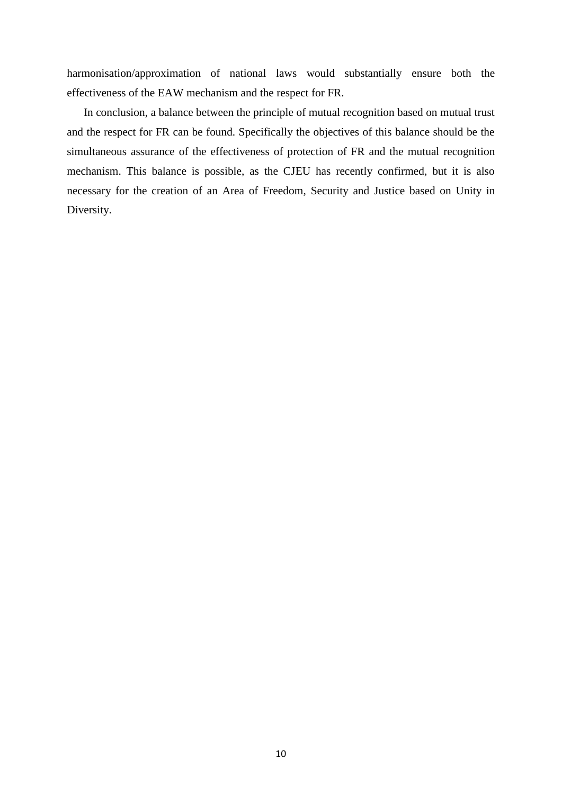harmonisation/approximation of national laws would substantially ensure both the effectiveness of the EAW mechanism and the respect for FR.

In conclusion, a balance between the principle of mutual recognition based on mutual trust and the respect for FR can be found. Specifically the objectives of this balance should be the simultaneous assurance of the effectiveness of protection of FR and the mutual recognition mechanism. This balance is possible, as the CJEU has recently confirmed, but it is also necessary for the creation of an Area of Freedom, Security and Justice based on Unity in Diversity.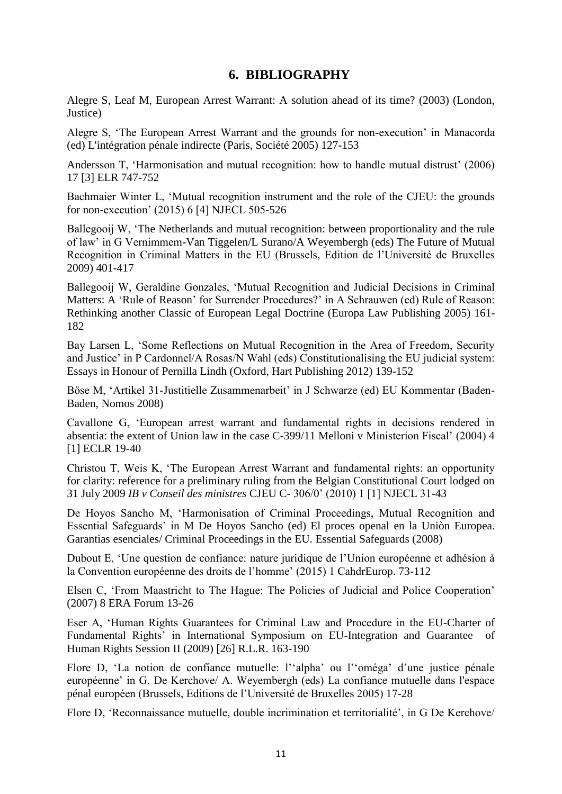# **6. BIBLIOGRAPHY**

Alegre S, Leaf M, European Arrest Warrant: A solution ahead of its time? (2003) (London, Justice)

Alegre S, 'The European Arrest Warrant and the grounds for non-execution' in Manacorda (ed) L'intégration pénale indirecte (Paris, Société 2005) 127-153

Andersson T, 'Harmonisation and mutual recognition: how to handle mutual distrust' (2006) 17 [3] ELR 747-752

Bachmaier Winter L, 'Mutual recognition instrument and the role of the CJEU: the grounds for non-execution' (2015) 6 [4] NJECL 505-526

Ballegooij W, 'The Netherlands and mutual recognition: between proportionality and the rule of law' in G Vernimmem-Van Tiggelen/L Surano/A Weyembergh (eds) The Future of Mutual Recognition in Criminal Matters in the EU (Brussels, Edition de l'Université de Bruxelles 2009) 401-417

Ballegooij W, Geraldine Gonzales, 'Mutual Recognition and Judicial Decisions in Criminal Matters: A 'Rule of Reason' for Surrender Procedures?' in A Schrauwen (ed) Rule of Reason: Rethinking another Classic of European Legal Doctrine (Europa Law Publishing 2005) 161- 182

Bay Larsen L, 'Some Reflections on Mutual Recognition in the Area of Freedom, Security and Justice' in P Cardonnel/A Rosas/N Wahl (eds) Constitutionalising the EU judicial system: Essays in Honour of Pernilla Lindh (Oxford, Hart Publishing 2012) 139-152

Böse M, 'Artikel 31-Justitielle Zusammenarbeit' in J Schwarze (ed) EU Kommentar (Baden-Baden, Nomos 2008)

Cavallone G, 'European arrest warrant and fundamental rights in decisions rendered in absentia: the extent of Union law in the case C-399/11 Melloni v Ministerion Fiscal' (2004) 4 [1] ECLR 19-40

Christou T, Weis K, 'The European Arrest Warrant and fundamental rights: an opportunity for clarity: reference for a preliminary ruling from the Belgian Constitutional Court lodged on 31 July 2009 *IB v Conseil des ministres* CJEU C- 306/0' (2010) 1 [1] NJECL 31-43

De Hoyos Sancho M, 'Harmonisation of Criminal Proceedings, Mutual Recognition and Essential Safeguards' in M De Hoyos Sancho (ed) El proces openal en la Uniòn Europea. Garantìas esenciales/ Criminal Proceedings in the EU. Essential Safeguards (2008)

Dubout E, 'Une question de confiance: nature juridique de l'Union européenne et adhésion à la Convention européenne des droits de l'homme' (2015) 1 CahdrEurop. 73-112

Elsen C, 'From Maastricht to The Hague: The Policies of Judicial and Police Cooperation' (2007) 8 ERA Forum 13-26

Eser A, 'Human Rights Guarantees for Criminal Law and Procedure in the EU-Charter of Fundamental Rights' in International Symposium on EU-Integration and Guarantee of Human Rights Session II (2009) [26] R.L.R. 163-190

Flore D, 'La notion de confiance mutuelle: l''alpha' ou l''oméga' d'une justice pénale européenne' in G. De Kerchove/ A. Weyembergh (eds) La confiance mutuelle dans l'espace pénal européen (Brussels, Editions de l'Université de Bruxelles 2005) 17-28

Flore D, 'Reconnaissance mutuelle, double incrimination et territorialité', in G De Kerchove/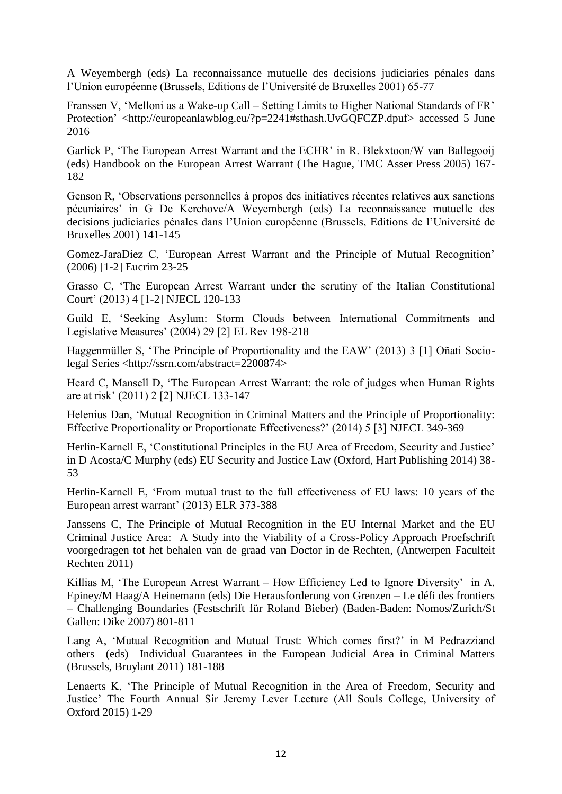A Weyembergh (eds) La reconnaissance mutuelle des decisions judiciaries pénales dans l'Union européenne (Brussels, Editions de l'Université de Bruxelles 2001) 65-77

Franssen V, 'Melloni as a Wake-up Call – Setting Limits to Higher National Standards of FR' Protection' [<http://europeanlawblog.eu/?p=2241#sthash.UvGQFCZP.dpuf>](http://europeanlawblog.eu/?p=2241&sthash.UvGQFCZP.dpuf) accessed 5 June 2016

Garlick P, 'The European Arrest Warrant and the ECHR' in R. Blekxtoon/W van Ballegooij (eds) Handbook on the European Arrest Warrant (The Hague, TMC Asser Press 2005) 167- 182

Genson R, 'Observations personnelles à propos des initiatives récentes relatives aux sanctions pécuniaires' in G De Kerchove/A Weyembergh (eds) La reconnaissance mutuelle des decisions judiciaries pénales dans l'Union européenne (Brussels, Editions de l'Université de Bruxelles 2001) 141-145

Gomez-JaraDiez C, 'European Arrest Warrant and the Principle of Mutual Recognition' (2006) [1-2] Eucrim 23-25

Grasso C, 'The European Arrest Warrant under the scrutiny of the Italian Constitutional Court' (2013) 4 [1-2] NJECL 120-133

Guild E, 'Seeking Asylum: Storm Clouds between International Commitments and Legislative Measures' (2004) 29 [2] EL Rev 198-218

Haggenmüller S, 'The Principle of Proportionality and the EAW' (2013) 3 [1] Oñati Sociolegal Series [<http://ssrn.com/abstract=2200874>](http://ssrn.com/abstract%3D2200874)

Heard C, Mansell D, 'The European Arrest Warrant: the role of judges when Human Rights are at risk' (2011) 2 [2] NJECL 133-147

Helenius Dan, 'Mutual Recognition in Criminal Matters and the Principle of Proportionality: Effective Proportionality or Proportionate Effectiveness?' (2014) 5 [3] NJECL 349-369

Herlin-Karnell E, 'Constitutional Principles in the EU Area of Freedom, Security and Justice' in D Acosta/C Murphy (eds) EU Security and Justice Law (Oxford, Hart Publishing 2014) 38- 53

Herlin-Karnell E, 'From mutual trust to the full effectiveness of EU laws: 10 years of the European arrest warrant' (2013) ELR 373-388

Janssens C, The Principle of Mutual Recognition in the EU Internal Market and the EU Criminal Justice Area: A Study into the Viability of a Cross-Policy Approach Proefschrift voorgedragen tot het behalen van de graad van Doctor in de Rechten, (Antwerpen Faculteit Rechten 2011)

Killias M, 'The European Arrest Warrant – How Efficiency Led to Ignore Diversity' in A. Epiney/M Haag/A Heinemann (eds) Die Herausforderung von Grenzen – Le défi des frontiers – Challenging Boundaries (Festschrift für Roland Bieber) (Baden-Baden: Nomos/Zurich/St Gallen: Dike 2007) 801-811

Lang A, 'Mutual Recognition and Mutual Trust: Which comes first?' in M Pedrazziand others (eds) Individual Guarantees in the European Judicial Area in Criminal Matters (Brussels, Bruylant 2011) 181-188

Lenaerts K, 'The Principle of Mutual Recognition in the Area of Freedom, Security and Justice' The Fourth Annual Sir Jeremy Lever Lecture (All Souls College, University of Oxford 2015) 1-29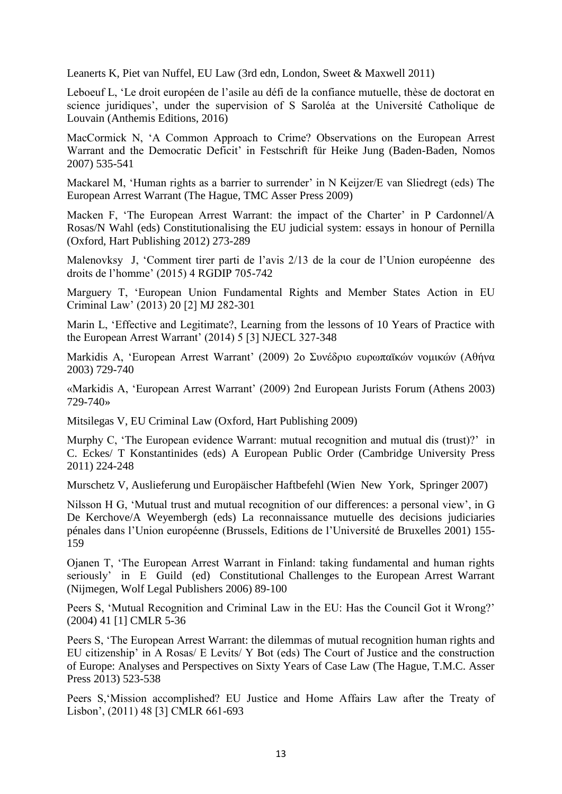Leanerts K, Piet van Nuffel, EU Law (3rd edn, London, Sweet & Maxwell 2011)

Leboeuf L, 'Le droit européen de l'asile au défi de la confiance mutuelle, thèse de doctorat en science juridiques', under the supervision of S Saroléa at the Université Catholique de Louvain (Anthemis Editions, 2016)

MacCormick N, 'A Common Approach to Crime? Observations on the European Arrest Warrant and the Democratic Deficit' in Festschrift für Heike Jung (Baden-Baden, Nomos 2007) 535-541

Mackarel M, 'Human rights as a barrier to surrender' in N Keijzer/E van Sliedregt (eds) The European Arrest Warrant (The Hague, TMC Asser Press 2009)

Macken F, 'The European Arrest Warrant: the impact of the Charter' in P Cardonnel/A Rosas/N Wahl (eds) Constitutionalising the EU judicial system: essays in honour of Pernilla (Oxford, Hart Publishing 2012) 273-289

Malenovksy J, 'Comment tirer parti de l'avis 2/13 de la cour de l'Union européenne des droits de l'homme' (2015) 4 RGDIP 705-742

Marguery T, 'European Union Fundamental Rights and Member States Action in EU Criminal Law' (2013) 20 [2] MJ 282-301

Marin L, 'Effective and Legitimate?, Learning from the lessons of 10 Years of Practice with the European Arrest Warrant' (2014) 5 [3] NJECL 327-348

Markidis A, 'European Arrest Warrant' (2009) 2ο Συνέδριο ευρωπαϊκών νομικών (Αθήνα 2003) 729-740

«Markidis A, 'European Arrest Warrant' (2009) 2nd European Jurists Forum (Athens 2003) 729-740»

Mitsilegas V, EU Criminal Law (Oxford, Hart Publishing 2009)

Murphy C, 'The European evidence Warrant: mutual recognition and mutual dis (trust)?' in C. Eckes/ T Konstantinides (eds) A European Public Order (Cambridge University Press 2011) 224-248

Murschetz V, Auslieferung und Europäischer Haftbefehl (Wien New York, Springer 2007)

Nilsson H G, 'Mutual trust and mutual recognition of our differences: a personal view', in G De Kerchove/A Weyembergh (eds) La reconnaissance mutuelle des decisions judiciaries pénales dans l'Union européenne (Brussels, Editions de l'Université de Bruxelles 2001) 155- 159

Ojanen T, 'The European Arrest Warrant in Finland: taking fundamental and human rights seriously' in E Guild (ed) Constitutional Challenges to the European Arrest Warrant (Nijmegen, Wolf Legal Publishers 2006) 89-100

Peers S, 'Mutual Recognition and Criminal Law in the EU: Has the Council Got it Wrong?' (2004) 41 [1] CMLR 5-36

Peers S, 'The European Arrest Warrant: the dilemmas of mutual recognition human rights and EU citizenship' in A Rosas/ E Levits/ Y Bot (eds) The Court of Justice and the construction of Europe: Analyses and Perspectives on Sixty Years of Case Law (The Hague, T.M.C. Asser Press 2013) 523-538

Peers S,'Mission accomplished? EU Justice and Home Affairs Law after the Treaty of Lisbon', (2011) 48 [3] CMLR 661-693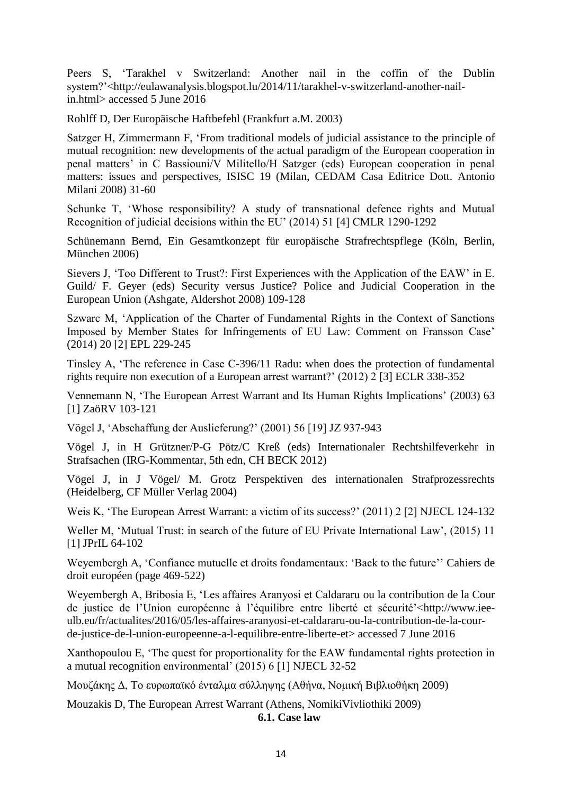Peers S, 'Tarakhel v Switzerland: Another nail in the coffin of the Dublin system?'[<http://eulawanalysis.blogspot.lu/2014/11/tarakhel-v-switzerland-another-nail](http://eulawanalysis.blogspot.lu/2014/11/tarakhel-v-switzerland-another-nail-in.html)[in.html>](http://eulawanalysis.blogspot.lu/2014/11/tarakhel-v-switzerland-another-nail-in.html) accessed 5 June 2016

Rohlff D, Der Europäische Haftbefehl (Frankfurt a.M. 2003)

Satzger H, Zimmermann F, 'From traditional models of judicial assistance to the principle of mutual recognition: new developments of the actual paradigm of the European cooperation in penal matters' in C Bassiouni/V Militello/H Satzger (eds) European cooperation in penal matters: issues and perspectives, ISISC 19 (Milan, CEDAM Casa Editrice Dott. Antonio Milani 2008) 31-60

Schunke T, 'Whose responsibility? A study of transnational defence rights and Mutual Recognition of judicial decisions within the EU' (2014) 51 [4] CMLR 1290-1292

Schünemann Bernd, Ein Gesamtkonzept für europäische Strafrechtspflege (Köln, Berlin, München 2006)

Sievers J, 'Too Different to Trust?: First Experiences with the Application of the EAW' in E. Guild/ F. Geyer (eds) Security versus Justice? Police and Judicial Cooperation in the European Union (Ashgate, Aldershot 2008) 109-128

Szwarc M, 'Application of the Charter of Fundamental Rights in the Context of Sanctions Imposed by Member States for Infringements of EU Law: Comment on Fransson Case' (2014) 20 [2] EPL 229-245

Tinsley A, 'The reference in Case C-396/11 Radu: when does the protection of fundamental rights require non execution of a European arrest warrant?' (2012) 2 [3] ECLR 338-352

Vennemann N, 'The European Arrest Warrant and Its Human Rights Implications' (2003) 63 [1] ZaöRV 103-121

Vögel J, 'Abschaffung der Auslieferung?' (2001) 56 [19] JZ 937-943

Vögel J, in H Grützner/P-G Pötz/C Kreß (eds) Internationaler Rechtshilfeverkehr in Strafsachen (IRG-Kommentar, 5th edn, CH BECK 2012)

Vögel J, in J Vögel/ M. Grotz Perspektiven des internationalen Strafprozessrechts (Heidelberg, CF Müller Verlag 2004)

Weis K, 'The European Arrest Warrant: a victim of its success?' (2011) 2 [2] NJECL 124-132

Weller M, 'Mutual Trust: in search of the future of EU Private International Law', (2015) 11 [1] JPrIL 64-102

Weyembergh A, 'Confiance mutuelle et droits fondamentaux: 'Back to the future'' Cahiers de droit européen (page 469-522)

Weyembergh A, Bribosia E, 'Les affaires Aranyosi et Caldararu ou la contribution de la Cour de justice de l'Union européenne à l'équilibre entre liberté et sécurité'[<http://www.iee](http://www.iee-ulb.eu/fr/actualites/2016/05/les-affaires-aranyosi-et-caldararu-ou-la-)[ulb.eu/fr/actualites/2016/05/les-affaires-aranyosi-et-caldararu-ou-la-c](http://www.iee-ulb.eu/fr/actualites/2016/05/les-affaires-aranyosi-et-caldararu-ou-la-)ontribution-de-la-courde-justice-de-l-union-europeenne-a-l-equilibre-entre-liberte-et> accessed 7 June 2016

Xanthopoulou E, 'The quest for proportionality for the EAW fundamental rights protection in a mutual recognition environmental' (2015) 6 [1] NJECL 32-52

Μουζάκης Δ, Το ευρωπαϊκό ένταλμα σύλληψης (Αθήνα, Νομική Βιβλιοθήκη 2009)

Mouzakis D, The European Arrest Warrant (Athens, NomikiVivliothiki 2009) **6.1. Case law**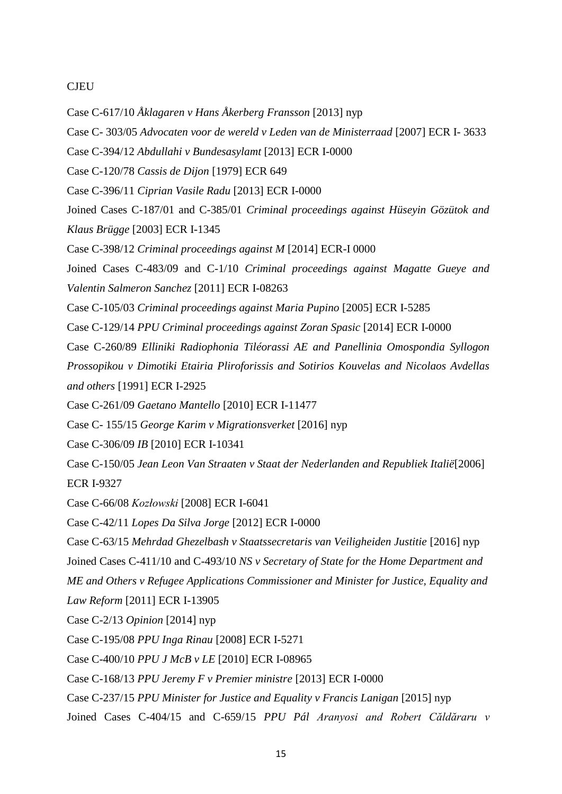# **CJEU**

- Case C-617/10 *Åklagaren v Hans Åkerberg Fransson* [2013] nyp
- Case C- 303/05 *Advocaten voor de wereld v Leden van de Ministerraad* [2007] ECR I- 3633
- Case C-394/12 *Abdullahi v Bundesasylamt* [2013] ECR I-0000
- Case C-120/78 *Cassis de Dijon* [1979] ECR 649
- Case C-396/11 *Ciprian Vasile Radu* [2013] ECR I-0000
- Joined Cases C-187/01 and C-385/01 *Criminal proceedings against Hüseyin Gözütok and Klaus Brügge* [2003] ECR I-1345
- Case C-398/12 *Criminal proceedings against M* [2014] ECR-I 0000
- Joined Cases C-483/09 and C-1/10 *Criminal proceedings against Magatte Gueye and Valentin Salmeron Sanchez* [2011] ECR I-08263
- Case C-105/03 *Criminal proceedings against Maria Pupino* [2005] ECR I-5285
- Case C-129/14 *PPU Criminal proceedings against Zoran Spasic* [2014] ECR I-0000
- Case C-260/89 *Elliniki Radiophonia Tiléorassi AE and Panellinia Omospondia Syllogon*
- *Prossopikou v Dimotiki Etairia Pliroforissis and Sotirios Kouvelas and Nicolaos Avdellas and others* [1991] ECR I-2925
- Case C-261/09 *Gaetano Mantello* [2010] ECR I-11477
- Case C- 155/15 *George Karim v Migrationsverket* [2016] nyp
- Case C-306/09 *IB* [2010] ECR I-10341
- Case C-150/05 *Jean Leon Van Straaten v Staat der Nederlanden and Republiek Italië*[2006]

ECR I-9327

- Case C-66/08 *Kozłowski* [2008] ECR I-6041
- Case C-42/11 *Lopes Da Silva Jorge* [2012] ECR I-0000
- Case C-63/15 *Mehrdad Ghezelbash v Staatssecretaris van Veiligheiden Justitie* [2016] nyp
- Joined Cases C-411/10 and C-493/10 *NS v Secretary of State for the Home Department and*
- *ME and Others v Refugee Applications Commissioner and Minister for Justice, Equality and*

*Law Reform* [2011] ECR I-13905

- Case C-2/13 *Opinion* [2014] nyp
- Case C-195/08 *PPU Inga Rinau* [2008] ECR I-5271
- Case C-400/10 *PPU J McB v LE* [2010] ECR I-08965
- Case C-168/13 *PPU Jeremy F v Premier ministre* [2013] ECR I-0000
- Case C-237/15 *PPU Minister for Justice and Equality v Francis Lanigan* [2015] nyp
- Joined Cases C-404/15 and C-659/15 *PPU Pál Aranyosi and Robert Căldăraru v*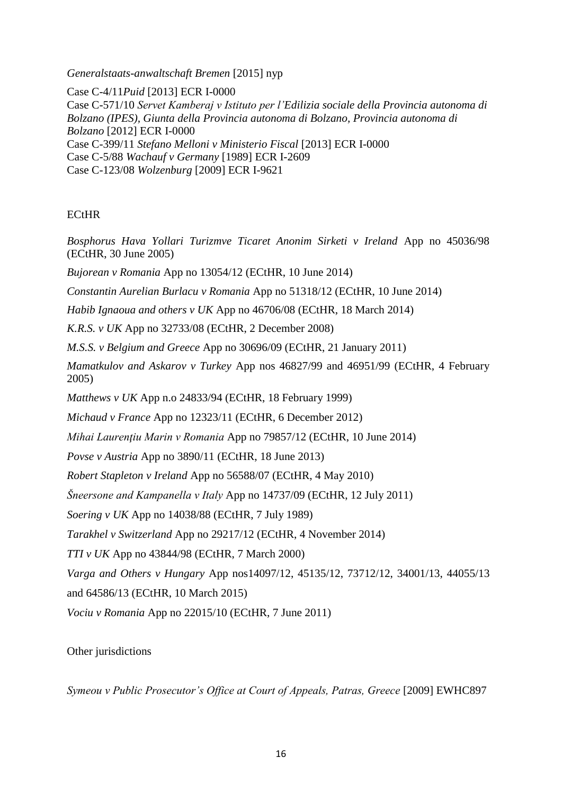*Generalstaats-anwaltschaft Bremen* [2015] nyp

Case C-4/11*Puid* [2013] ECR I-0000 Case C-571/10 *Servet Kamberaj v Istituto per l'Edilizia sociale della Provincia autonoma di Bolzano (IPES), Giunta della Provincia autonoma di Bolzano, Provincia autonoma di Bolzano* [2012] ECR I-0000 Case C-399/11 *Stefano Melloni v Ministerio Fiscal* [2013] ECR I-0000 Case C-5/88 *Wachauf v Germany* [1989] ECR I-2609 Case C-123/08 *Wolzenburg* [2009] ECR I-9621

# **ECtHR**

*Bosphorus Hava Yollari Turizmve Ticaret Anonim Sirketi v Ireland* App no 45036/98 (ECtHR, 30 June 2005)

*Bujorean v Romania* App no 13054/12 (ECtHR, 10 June 2014)

*Constantin Aurelian Burlacu v Romania* App no 51318/12 (ECtHR, 10 June 2014)

*Habib Ignaoua and others v UK* App no 46706/08 (ECtHR, 18 March 2014)

*K.R.S. v UK* App no 32733/08 (ECtHR, 2 December 2008)

*M.S.S. v Belgium and Greece* App no 30696/09 (ECtHR, 21 January 2011)

*Mamatkulov and Askarov v Turkey* App nos 46827/99 and 46951/99 (ECtHR, 4 February 2005)

*Matthews v UK* App n.o 24833/94 (ECtHR, 18 February 1999)

*Michaud v France* App no 12323/11 (ECtHR, 6 December 2012)

*Mihai Laurenţiu Marin v Romania* App no 79857/12 (ECtHR, 10 June 2014)

*Povse v Austria* App no 3890/11 (ECtHR, 18 June 2013)

*Robert Stapleton v Ireland* App no 56588/07 (ECtHR, 4 May 2010)

*Šneersone and Kampanella v Italy* App no 14737/09 (ECtHR, 12 July 2011)

*Soering v UK* App no 14038/88 (ECtHR, 7 July 1989)

*Tarakhel v Switzerland* App no 29217/12 (ECtHR, 4 November 2014)

*TTI v UK* App no 43844/98 (ECtHR, 7 March 2000)

*Varga and Others v Hungary* App nos14097/12, 45135/12, 73712/12, 34001/13, 44055/13

and 64586/13 (ECtHR, 10 March 2015)

*Vociu v Romania* App no 22015/10 (ECtHR, 7 June 2011)

# Other jurisdictions

*Symeou v Public Prosecutor's Office at Court of Appeals, Patras, Greece* [2009] EWHC897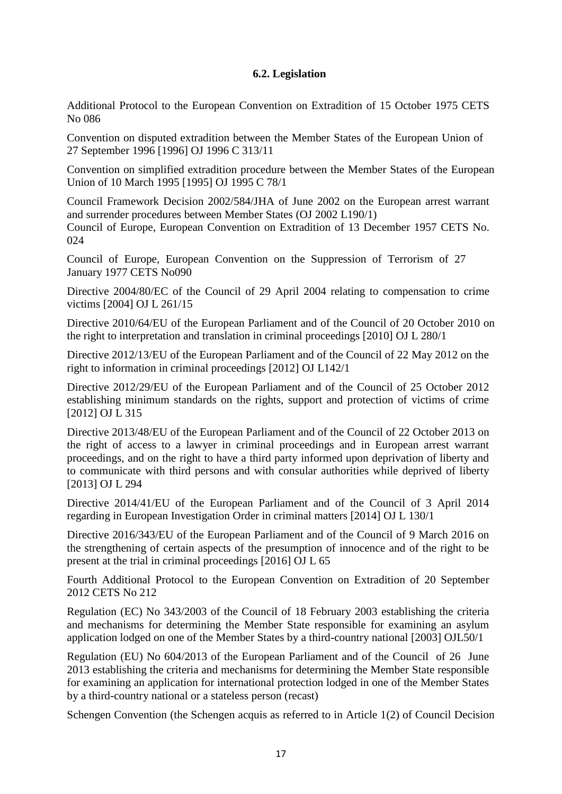# **6.2. Legislation**

Additional Protocol to the European Convention on Extradition of 15 October 1975 CETS No 086

Convention on disputed extradition between the Member States of the European Union of 27 September 1996 [1996] OJ 1996 C 313/11

Convention on simplified extradition procedure between the Member States of the European Union of 10 March 1995 [1995] OJ 1995 C 78/1

Council Framework Decision 2002/584/JHA of June 2002 on the European arrest warrant and surrender procedures between Member States (OJ 2002 L190/1) Council of Europe, European Convention on Extradition of 13 December 1957 CETS No. 024

Council of Europe, European Convention on the Suppression of Terrorism of 27 January 1977 CETS No090

Directive 2004/80/EC of the Council of 29 April 2004 relating to compensation to crime victims [2004] OJ L 261/15

Directive 2010/64/EU of the European Parliament and of the Council of 20 October 2010 on the right to interpretation and translation in criminal proceedings [2010] OJ L 280/1

Directive 2012/13/EU of the European Parliament and of the Council of 22 May 2012 on the right to information in criminal proceedings [2012] OJ L142/1

Directive 2012/29/EU of the European Parliament and of the Council of 25 October 2012 establishing minimum standards on the rights, support and protection of victims of crime [2012] OJ L 315

Directive 2013/48/EU of the European Parliament and of the Council of 22 October 2013 on the right of access to a lawyer in criminal proceedings and in European arrest warrant proceedings, and on the right to have a third party informed upon deprivation of liberty and to communicate with third persons and with consular authorities while deprived of liberty [2013] OJ L 294

Directive 2014/41/EU of the European Parliament and of the Council of 3 April 2014 regarding in European Investigation Order in criminal matters [2014] OJ L 130/1

Directive 2016/343/EU of the European Parliament and of the Council of 9 March 2016 on the strengthening of certain aspects of the presumption of innocence and of the right to be present at the trial in criminal proceedings [2016] OJ L 65

Fourth Additional Protocol to the European Convention on Extradition of 20 September 2012 CETS No 212

Regulation (EC) No 343/2003 of the Council of 18 February 2003 establishing the criteria and mechanisms for determining the Member State responsible for examining an asylum application lodged on one of the Member States by a third-country national [2003] OJL50/1

Regulation (EU) No 604/2013 of the European Parliament and of the Council of 26 June 2013 establishing the criteria and mechanisms for determining the Member State responsible for examining an application for international protection lodged in one of the Member States by a third-country national or a stateless person (recast)

Schengen Convention (the Schengen acquis as referred to in Article 1(2) of Council Decision